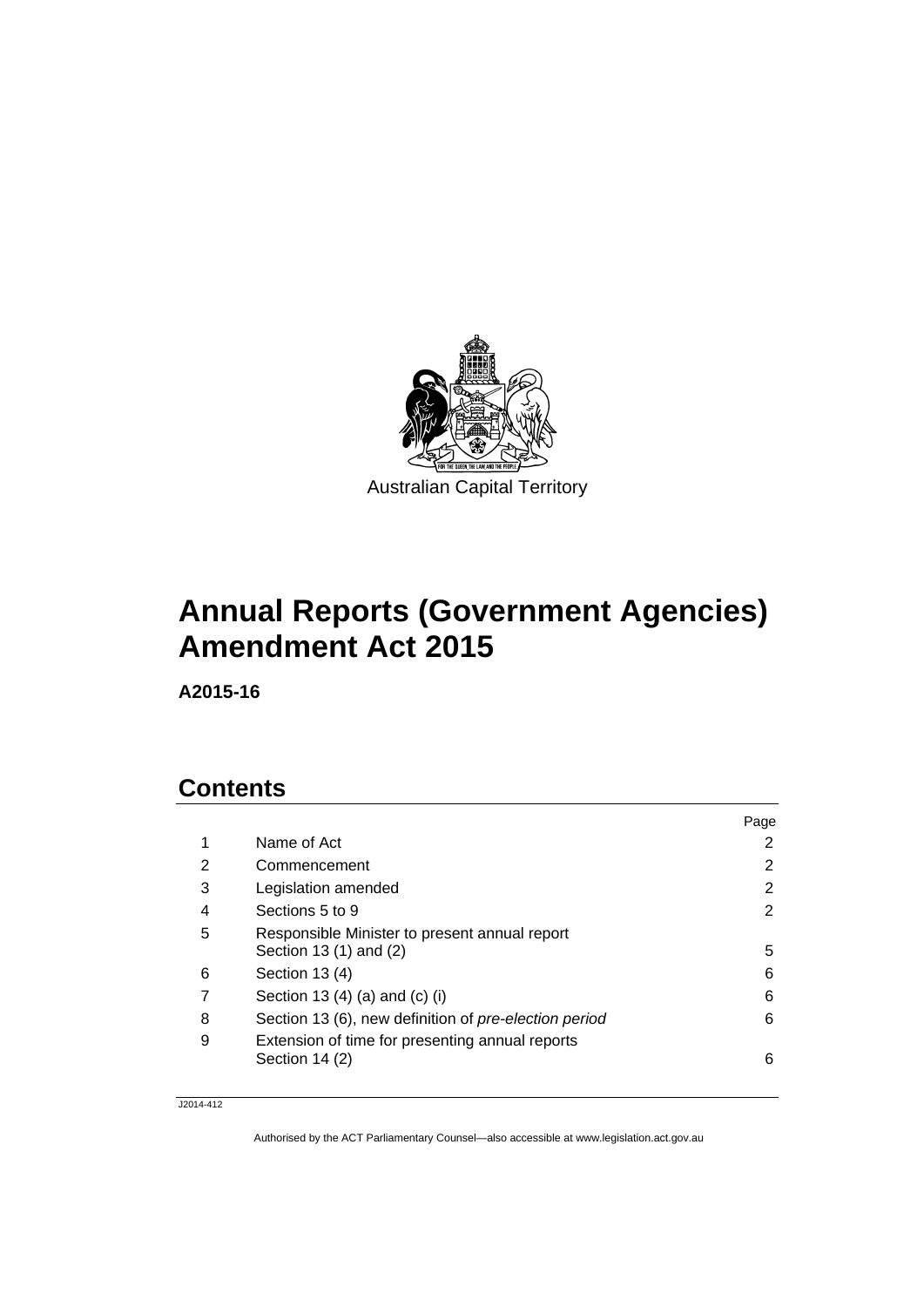

# **Annual Reports (Government Agencies) Amendment Act 2015**

**A2015-16** 

## **Contents**

|   |                                                       | Page |
|---|-------------------------------------------------------|------|
| 1 | Name of Act                                           | 2    |
| 2 | Commencement                                          | 2    |
| 3 | Legislation amended                                   | 2    |
| 4 | Sections 5 to 9                                       | 2    |
| 5 | Responsible Minister to present annual report         |      |
|   | Section 13 (1) and (2)                                | 5    |
| 6 | Section 13 (4)                                        | 6    |
|   | Section 13 $(4)$ $(a)$ and $(c)$ $(i)$                | 6    |
| 8 | Section 13 (6), new definition of pre-election period | 6    |
| 9 | Extension of time for presenting annual reports       |      |
|   | Section 14 (2)                                        | 6    |
|   |                                                       |      |

J2014-412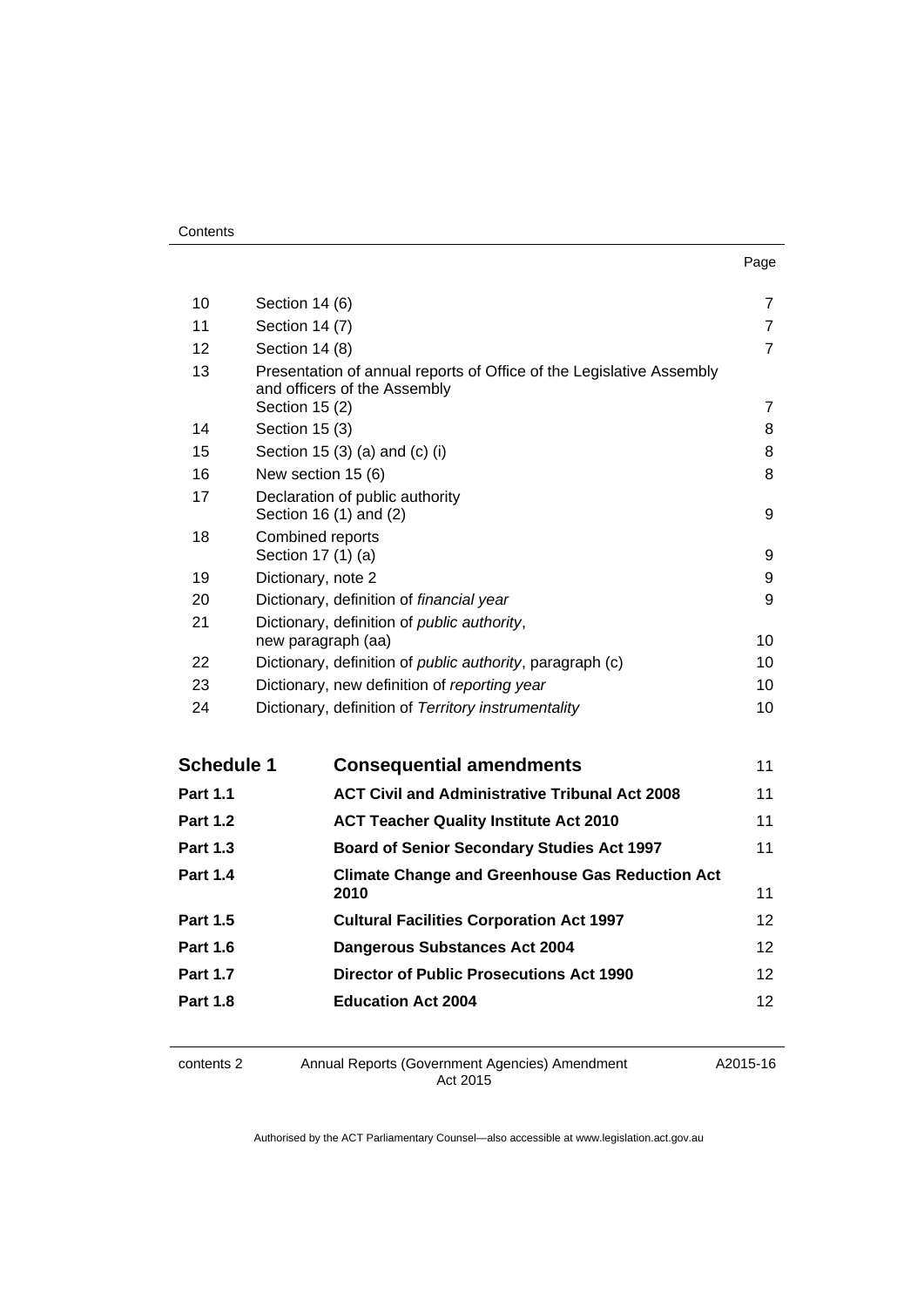| . .<br>× | ۰. |
|----------|----|

| 10                | Section 14 (6)                                                                                                         | $\overline{7}$  |
|-------------------|------------------------------------------------------------------------------------------------------------------------|-----------------|
| 11                | Section 14 (7)                                                                                                         | $\overline{7}$  |
| 12                | Section 14 (8)                                                                                                         | $\overline{7}$  |
| 13                | Presentation of annual reports of Office of the Legislative Assembly<br>and officers of the Assembly<br>Section 15 (2) | $\overline{7}$  |
| 14                | Section 15 (3)                                                                                                         | 8               |
| 15                | Section 15 (3) (a) and (c) (i)                                                                                         | 8               |
| 16                | New section 15 (6)                                                                                                     | 8               |
| 17                | Declaration of public authority<br>Section 16 (1) and (2)                                                              |                 |
| 18                | Combined reports<br>Section 17 (1) (a)                                                                                 | 9               |
| 19                | Dictionary, note 2                                                                                                     | 9               |
| 20                | Dictionary, definition of financial year                                                                               | 9               |
| 21                | Dictionary, definition of public authority,<br>new paragraph (aa)                                                      | 10              |
| 22                | Dictionary, definition of public authority, paragraph (c)                                                              | 10 <sup>1</sup> |
| 23                | Dictionary, new definition of reporting year                                                                           | 10              |
| 24                | Dictionary, definition of Territory instrumentality                                                                    | 10 <sup>1</sup> |
| <b>Schedule 1</b> | <b>Consequential amendments</b>                                                                                        | 11              |
| <b>Part 1.1</b>   | <b>ACT Civil and Administrative Tribunal Act 2008</b>                                                                  | 11              |
| <b>Part 1.2</b>   | <b>ACT Teacher Quality Institute Act 2010</b>                                                                          | 11              |
| <b>Part 1.3</b>   | <b>Board of Senior Secondary Studies Act 1997</b>                                                                      | 11              |
| <b>Part 1.4</b>   | <b>Climate Change and Greenhouse Gas Reduction Act</b><br>2010                                                         | 11              |
| <b>Part 1.5</b>   | <b>Cultural Facilities Corporation Act 1997</b>                                                                        | 12              |
| <b>Part 1.6</b>   | <b>Dangerous Substances Act 2004</b>                                                                                   | 12              |
| <b>Part 1.7</b>   | <b>Director of Public Prosecutions Act 1990</b>                                                                        | 12              |
| <b>Part 1.8</b>   | <b>Education Act 2004</b>                                                                                              | 12              |
|                   |                                                                                                                        |                 |

contents 2 Annual Reports (Government Agencies) Amendment Act 2015

A2015-16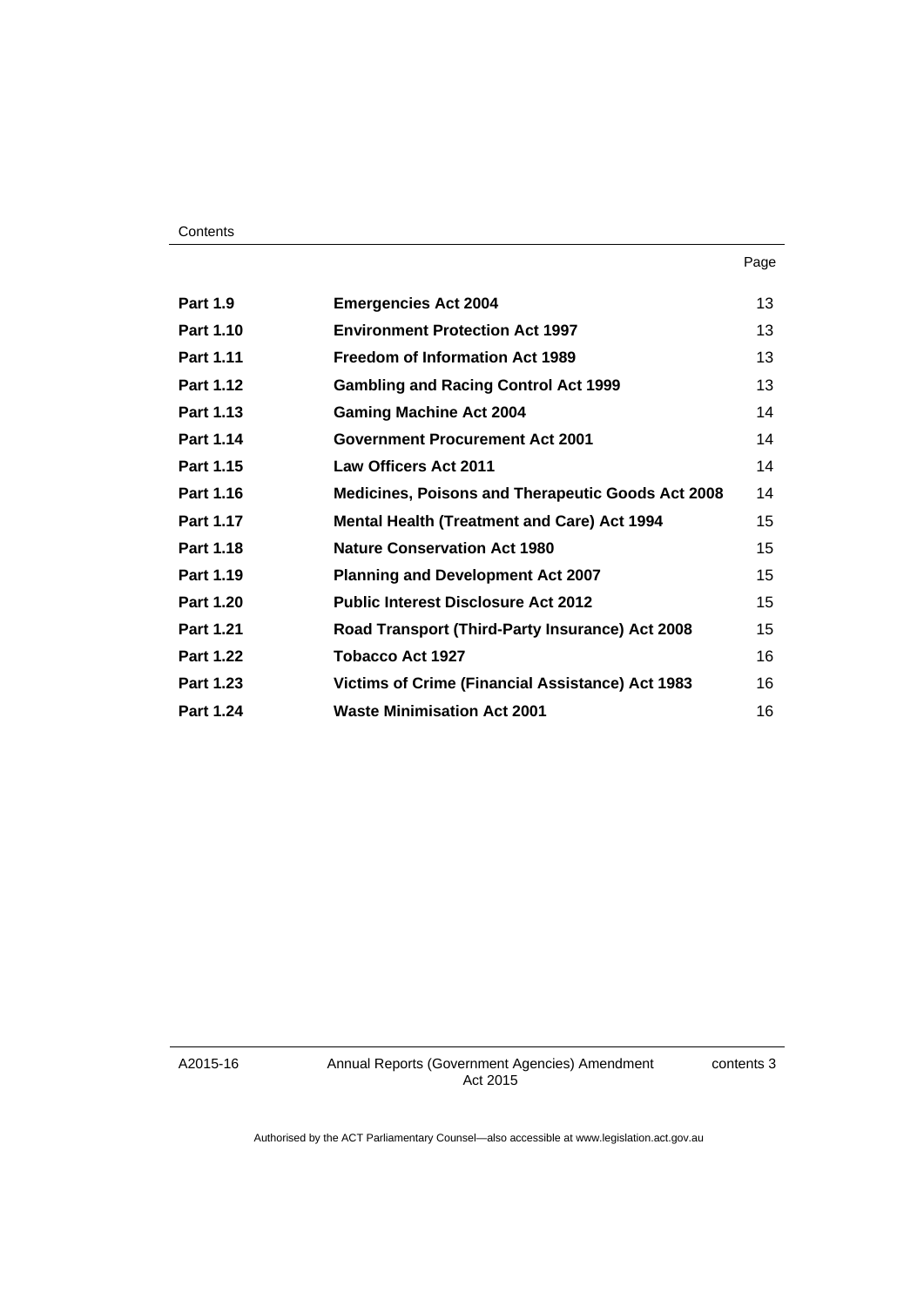#### **Contents**

| <b>Part 1.9</b>  | <b>Emergencies Act 2004</b>                              | 13 |
|------------------|----------------------------------------------------------|----|
| <b>Part 1.10</b> | <b>Environment Protection Act 1997</b>                   | 13 |
| Part 1.11        | <b>Freedom of Information Act 1989</b>                   | 13 |
| <b>Part 1.12</b> | <b>Gambling and Racing Control Act 1999</b>              | 13 |
| Part 1.13        | <b>Gaming Machine Act 2004</b>                           | 14 |
| <b>Part 1.14</b> | <b>Government Procurement Act 2001</b>                   | 14 |
| Part 1.15        | <b>Law Officers Act 2011</b>                             | 14 |
| <b>Part 1.16</b> | <b>Medicines, Poisons and Therapeutic Goods Act 2008</b> | 14 |
| <b>Part 1.17</b> | <b>Mental Health (Treatment and Care) Act 1994</b>       | 15 |
| <b>Part 1.18</b> | <b>Nature Conservation Act 1980</b>                      | 15 |
| Part 1.19        | <b>Planning and Development Act 2007</b>                 | 15 |
| <b>Part 1.20</b> | <b>Public Interest Disclosure Act 2012</b>               | 15 |
| <b>Part 1.21</b> | Road Transport (Third-Party Insurance) Act 2008          | 15 |
| <b>Part 1.22</b> | <b>Tobacco Act 1927</b>                                  | 16 |
| <b>Part 1.23</b> | <b>Victims of Crime (Financial Assistance) Act 1983</b>  | 16 |
| <b>Part 1.24</b> | <b>Waste Minimisation Act 2001</b>                       | 16 |

A2015-16

Annual Reports (Government Agencies) Amendment Act 2015

contents 3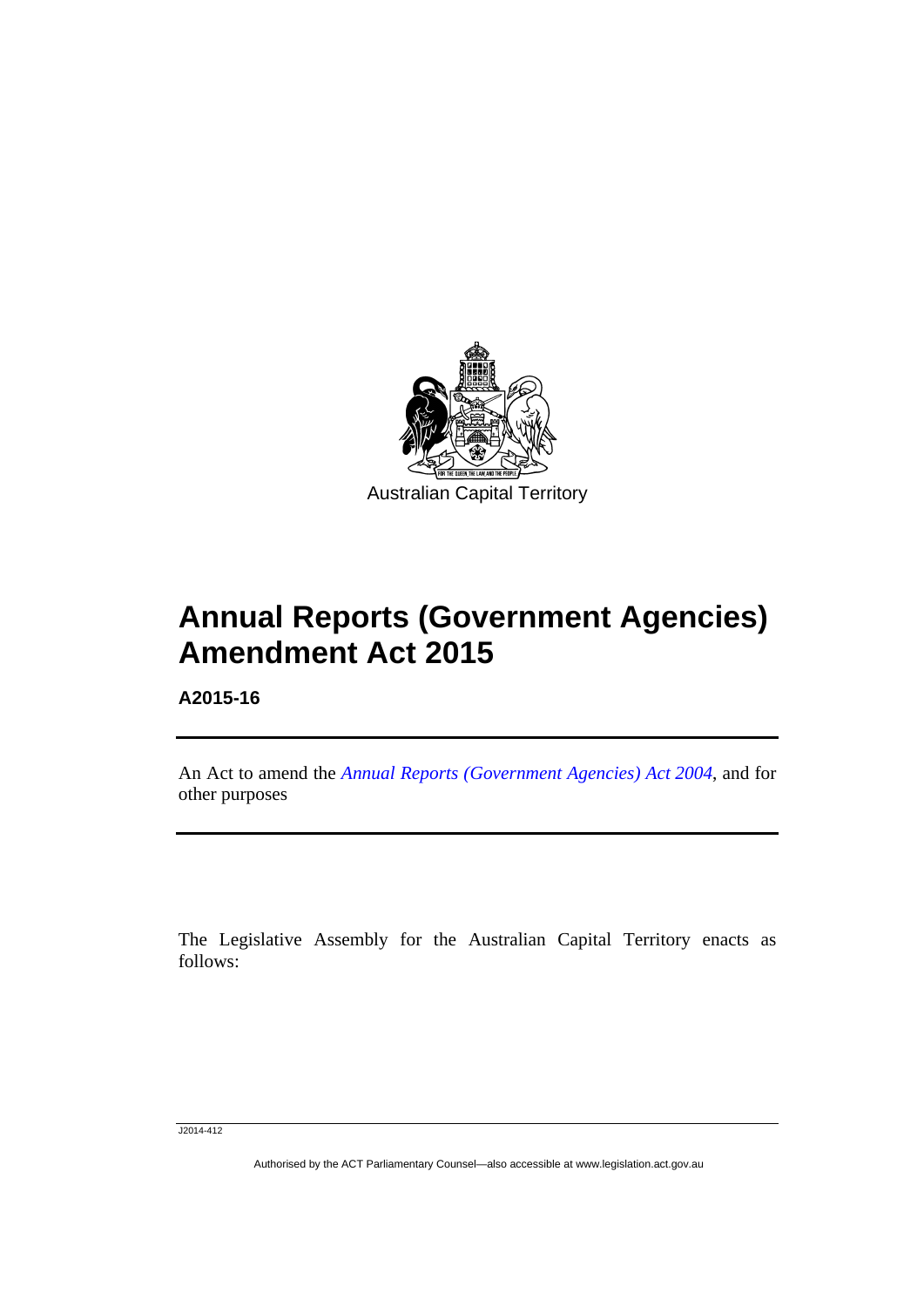

# **Annual Reports (Government Agencies) Amendment Act 2015**

**A2015-16** 

l

An Act to amend the *[Annual Reports \(Government Agencies\) Act 2004](http://www.legislation.act.gov.au/a/2004-8)*, and for other purposes

The Legislative Assembly for the Australian Capital Territory enacts as follows:

J2014-412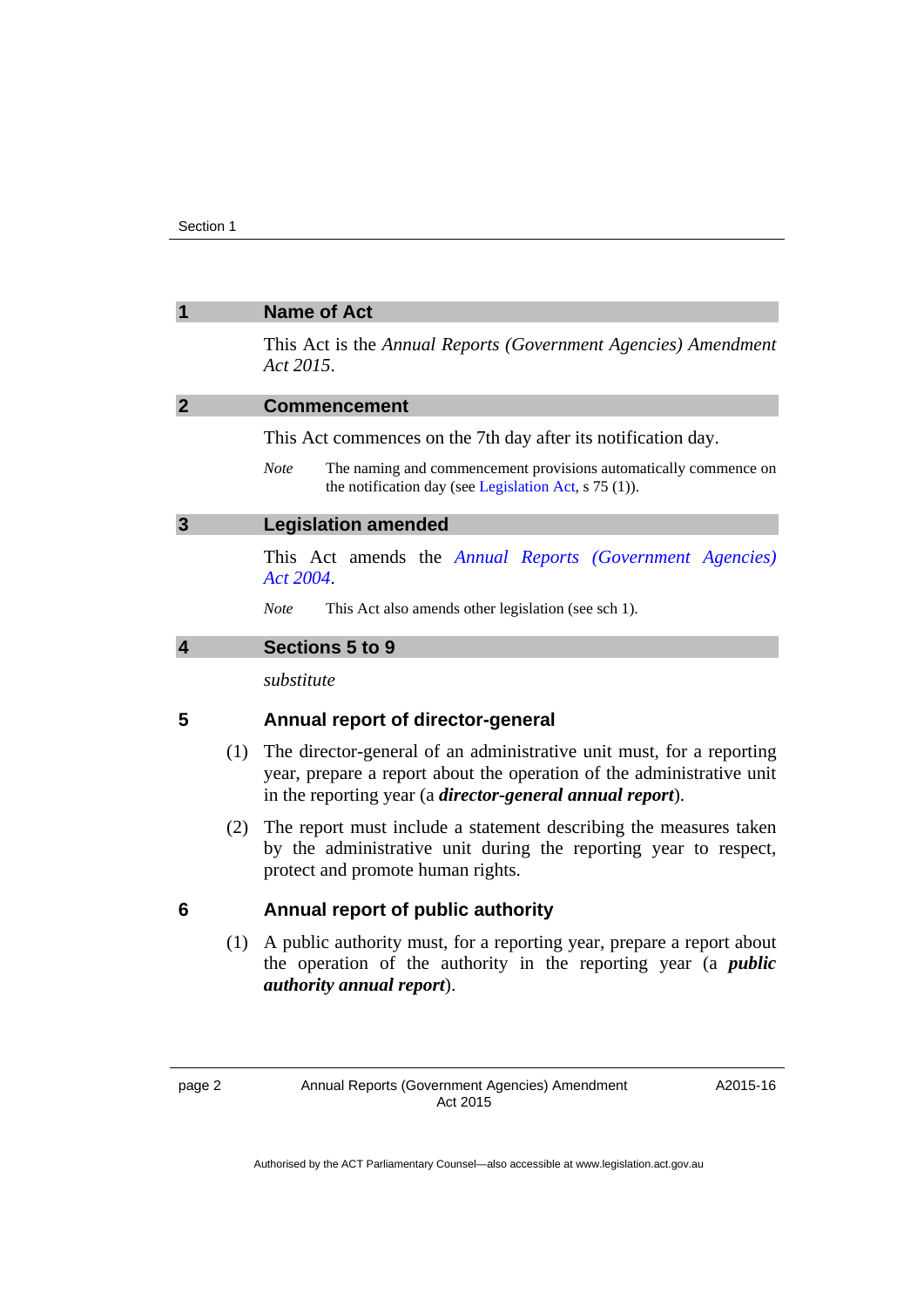<span id="page-5-3"></span><span id="page-5-2"></span><span id="page-5-1"></span><span id="page-5-0"></span>

| 1                       | <b>Name of Act</b>                                                                                                                                                                                                 |
|-------------------------|--------------------------------------------------------------------------------------------------------------------------------------------------------------------------------------------------------------------|
|                         | This Act is the Annual Reports (Government Agencies) Amendment<br>Act 2015.                                                                                                                                        |
| $\overline{2}$          | <b>Commencement</b>                                                                                                                                                                                                |
|                         | This Act commences on the 7th day after its notification day.                                                                                                                                                      |
|                         | <b>Note</b><br>The naming and commencement provisions automatically commence on<br>the notification day (see Legislation Act, s 75 (1)).                                                                           |
| $\mathbf{3}$            | <b>Legislation amended</b>                                                                                                                                                                                         |
|                         | This Act amends the Annual Reports (Government Agencies)<br>Act 2004.                                                                                                                                              |
|                         | <b>Note</b><br>This Act also amends other legislation (see sch 1).                                                                                                                                                 |
| $\overline{\mathbf{4}}$ | Sections 5 to 9                                                                                                                                                                                                    |
|                         | substitute                                                                                                                                                                                                         |
| 5                       | Annual report of director-general                                                                                                                                                                                  |
| (1)                     | The director-general of an administrative unit must, for a reporting<br>year, prepare a report about the operation of the administrative unit<br>in the reporting year (a <i>director-general annual report</i> ). |
| (2)                     | The report must include a statement describing the measures taken<br>by the administrative unit during the reporting year to respect,<br>protect and promote human rights.                                         |
| 6                       | Annual report of public authority                                                                                                                                                                                  |
| (1)                     | A public authority must, for a reporting year, prepare a report about<br>the operation of the authority in the reporting year (a <i>public</i><br><i>authority annual report</i> ).                                |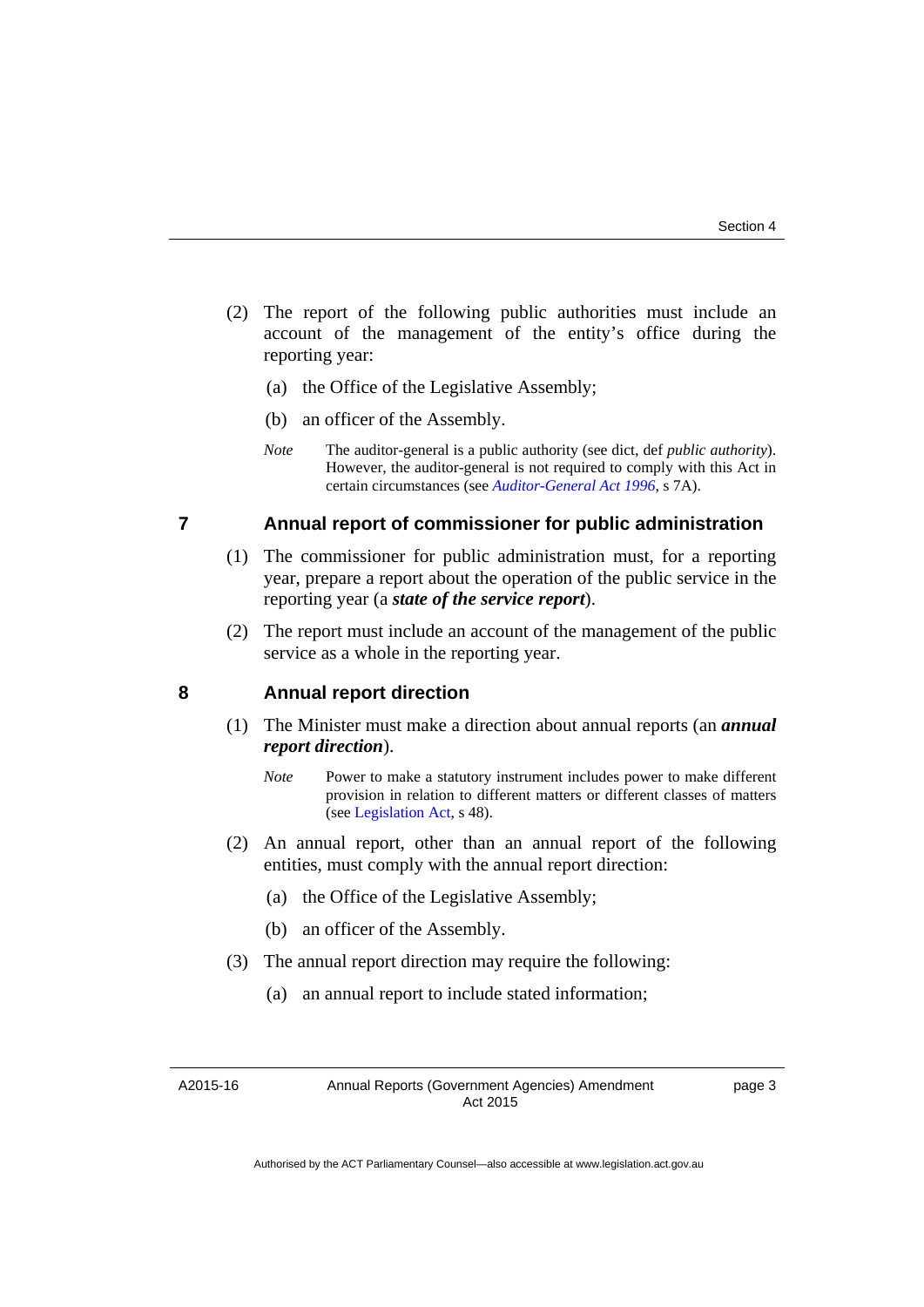- (2) The report of the following public authorities must include an account of the management of the entity's office during the reporting year:
	- (a) the Office of the Legislative Assembly;
	- (b) an officer of the Assembly.
	- *Note* The auditor-general is a public authority (see dict, def *public authority*). However, the auditor-general is not required to comply with this Act in certain circumstances (see *[Auditor-General Act 1996](http://www.legislation.act.gov.au/a/1996-23)*, s 7A).

#### **7 Annual report of commissioner for public administration**

- (1) The commissioner for public administration must, for a reporting year, prepare a report about the operation of the public service in the reporting year (a *state of the service report*).
- (2) The report must include an account of the management of the public service as a whole in the reporting year.

#### **8 Annual report direction**

- (1) The Minister must make a direction about annual reports (an *annual report direction*).
	- *Note* Power to make a statutory instrument includes power to make different provision in relation to different matters or different classes of matters (see [Legislation Act,](http://www.legislation.act.gov.au/a/2001-14) s 48).
- (2) An annual report, other than an annual report of the following entities, must comply with the annual report direction:
	- (a) the Office of the Legislative Assembly;
	- (b) an officer of the Assembly.
- (3) The annual report direction may require the following:
	- (a) an annual report to include stated information;

A2015-16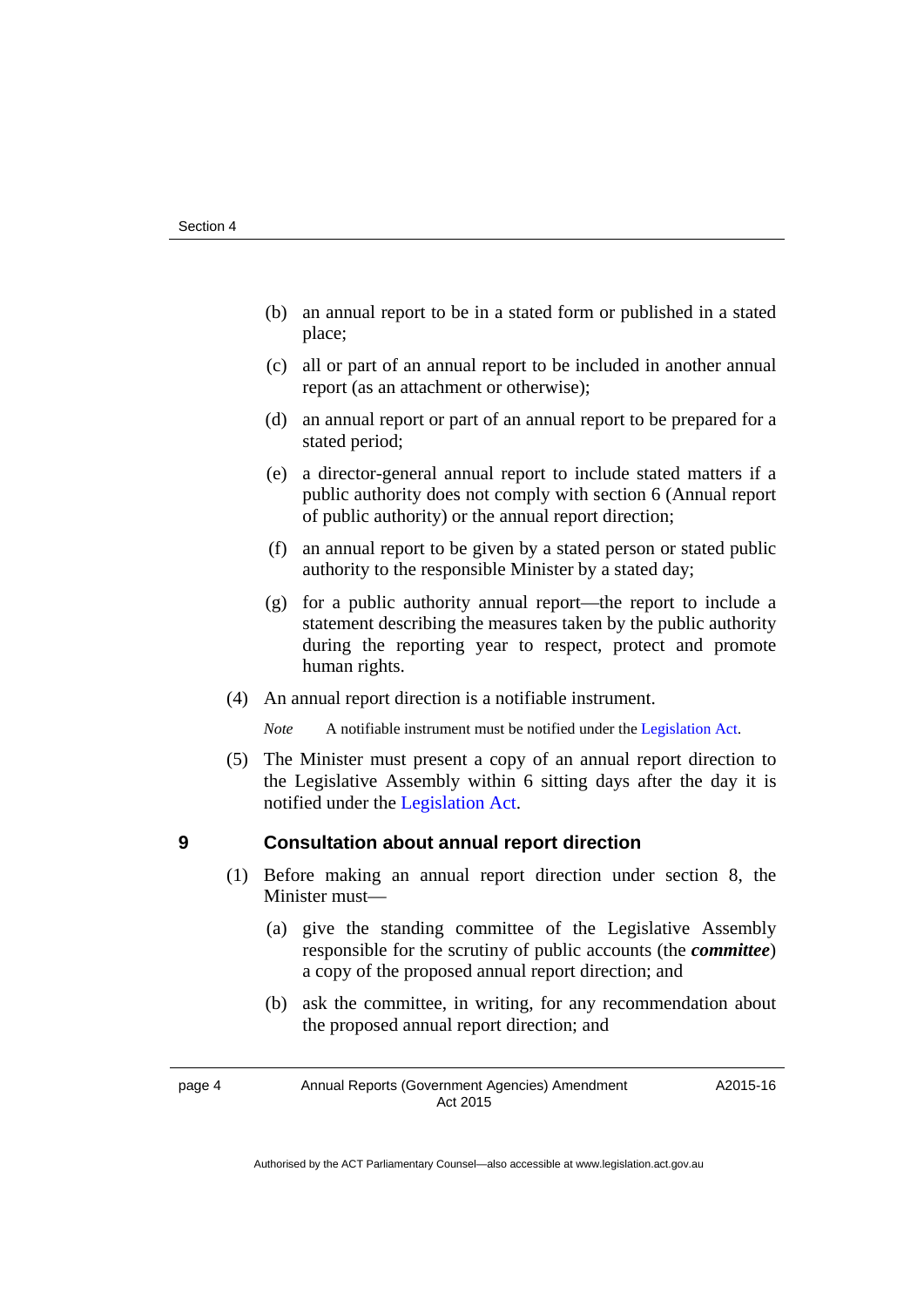- (b) an annual report to be in a stated form or published in a stated place;
- (c) all or part of an annual report to be included in another annual report (as an attachment or otherwise);
- (d) an annual report or part of an annual report to be prepared for a stated period;
- (e) a director-general annual report to include stated matters if a public authority does not comply with section 6 (Annual report of public authority) or the annual report direction;
- (f) an annual report to be given by a stated person or stated public authority to the responsible Minister by a stated day;
- (g) for a public authority annual report—the report to include a statement describing the measures taken by the public authority during the reporting year to respect, protect and promote human rights.
- (4) An annual report direction is a notifiable instrument.

*Note* A notifiable instrument must be notified under the [Legislation Act](http://www.legislation.act.gov.au/a/2001-14).

 (5) The Minister must present a copy of an annual report direction to the Legislative Assembly within 6 sitting days after the day it is notified under the [Legislation Act.](http://www.legislation.act.gov.au/a/2001-14)

#### **9 Consultation about annual report direction**

- (1) Before making an annual report direction under section 8, the Minister must—
	- (a) give the standing committee of the Legislative Assembly responsible for the scrutiny of public accounts (the *committee*) a copy of the proposed annual report direction; and
	- (b) ask the committee, in writing, for any recommendation about the proposed annual report direction; and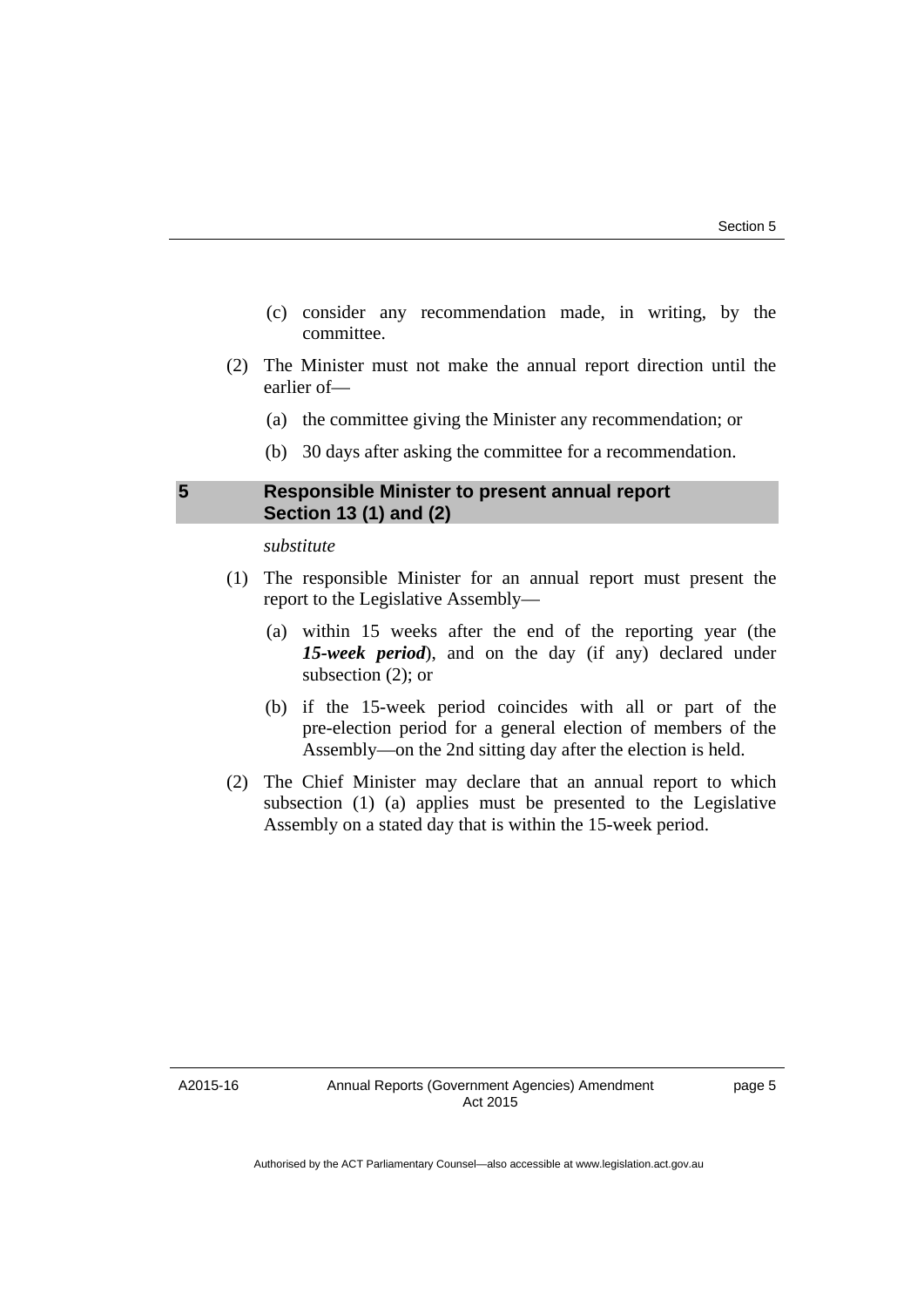- (c) consider any recommendation made, in writing, by the committee.
- (2) The Minister must not make the annual report direction until the earlier of—
	- (a) the committee giving the Minister any recommendation; or
	- (b) 30 days after asking the committee for a recommendation.

#### <span id="page-8-0"></span>**5 Responsible Minister to present annual report Section 13 (1) and (2)**

*substitute* 

- (1) The responsible Minister for an annual report must present the report to the Legislative Assembly—
	- (a) within 15 weeks after the end of the reporting year (the *15-week period*), and on the day (if any) declared under subsection (2); or
	- (b) if the 15-week period coincides with all or part of the pre-election period for a general election of members of the Assembly—on the 2nd sitting day after the election is held.
- (2) The Chief Minister may declare that an annual report to which subsection (1) (a) applies must be presented to the Legislative Assembly on a stated day that is within the 15-week period.

A2015-16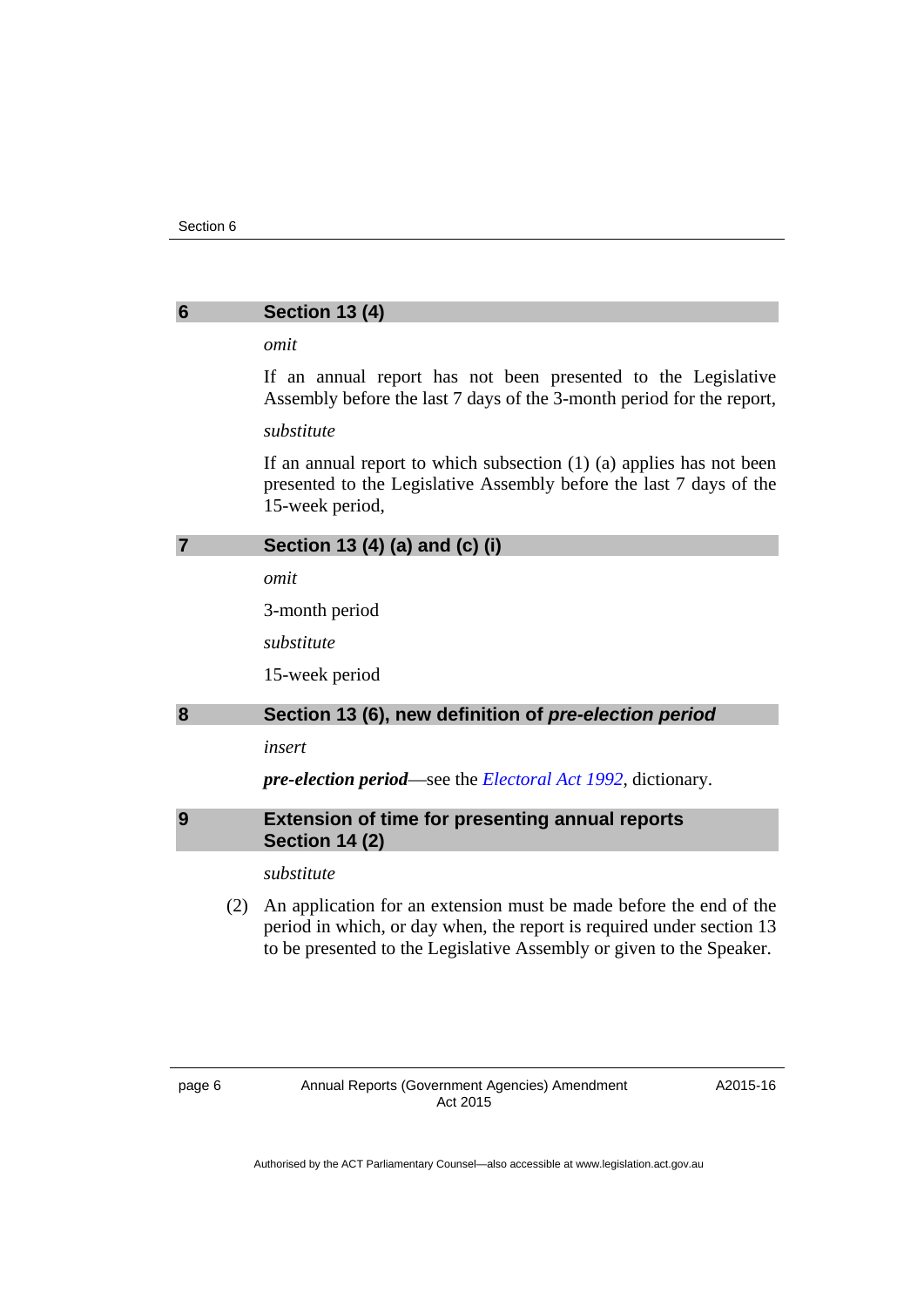#### <span id="page-9-0"></span>**6 Section 13 (4)**

#### *omit*

If an annual report has not been presented to the Legislative Assembly before the last 7 days of the 3-month period for the report,

#### *substitute*

If an annual report to which subsection (1) (a) applies has not been presented to the Legislative Assembly before the last 7 days of the 15-week period,

#### <span id="page-9-1"></span>**7 Section 13 (4) (a) and (c) (i)**

*omit* 

3-month period

*substitute* 

15-week period

#### <span id="page-9-2"></span>**8 Section 13 (6), new definition of** *pre-election period*

*insert* 

*pre-election period*—see the *[Electoral Act 1992](http://www.legislation.act.gov.au/a/1992-71)*, dictionary.

#### <span id="page-9-3"></span>**9 Extension of time for presenting annual reports Section 14 (2)**

#### *substitute*

 (2) An application for an extension must be made before the end of the period in which, or day when, the report is required under section 13 to be presented to the Legislative Assembly or given to the Speaker.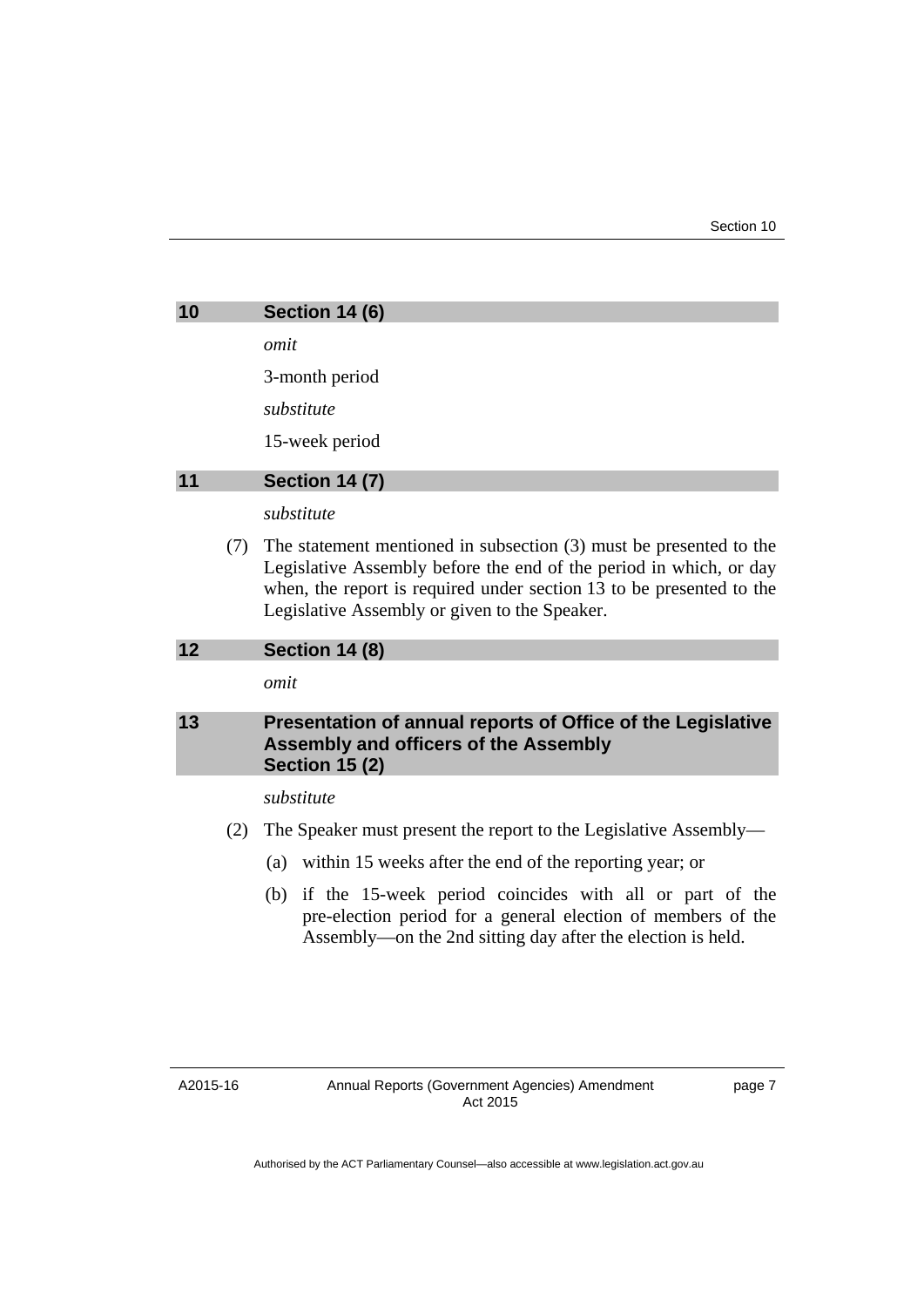<span id="page-10-0"></span>

| 10 | <b>Section 14 (6)</b> |
|----|-----------------------|
|    | omit                  |
|    | 3-month period        |
|    | substitute            |
|    | 15-week period        |
| 11 | <b>Section 14 (7)</b> |
|    | substitute            |

<span id="page-10-1"></span> (7) The statement mentioned in subsection (3) must be presented to the Legislative Assembly before the end of the period in which, or day when, the report is required under section 13 to be presented to the Legislative Assembly or given to the Speaker.

#### <span id="page-10-2"></span>**12 Section 14 (8)**

*omit* 

#### <span id="page-10-3"></span>**13 Presentation of annual reports of Office of the Legislative Assembly and officers of the Assembly Section 15 (2)**

*substitute* 

- (2) The Speaker must present the report to the Legislative Assembly—
	- (a) within 15 weeks after the end of the reporting year; or
	- (b) if the 15-week period coincides with all or part of the pre-election period for a general election of members of the Assembly—on the 2nd sitting day after the election is held.

A2015-16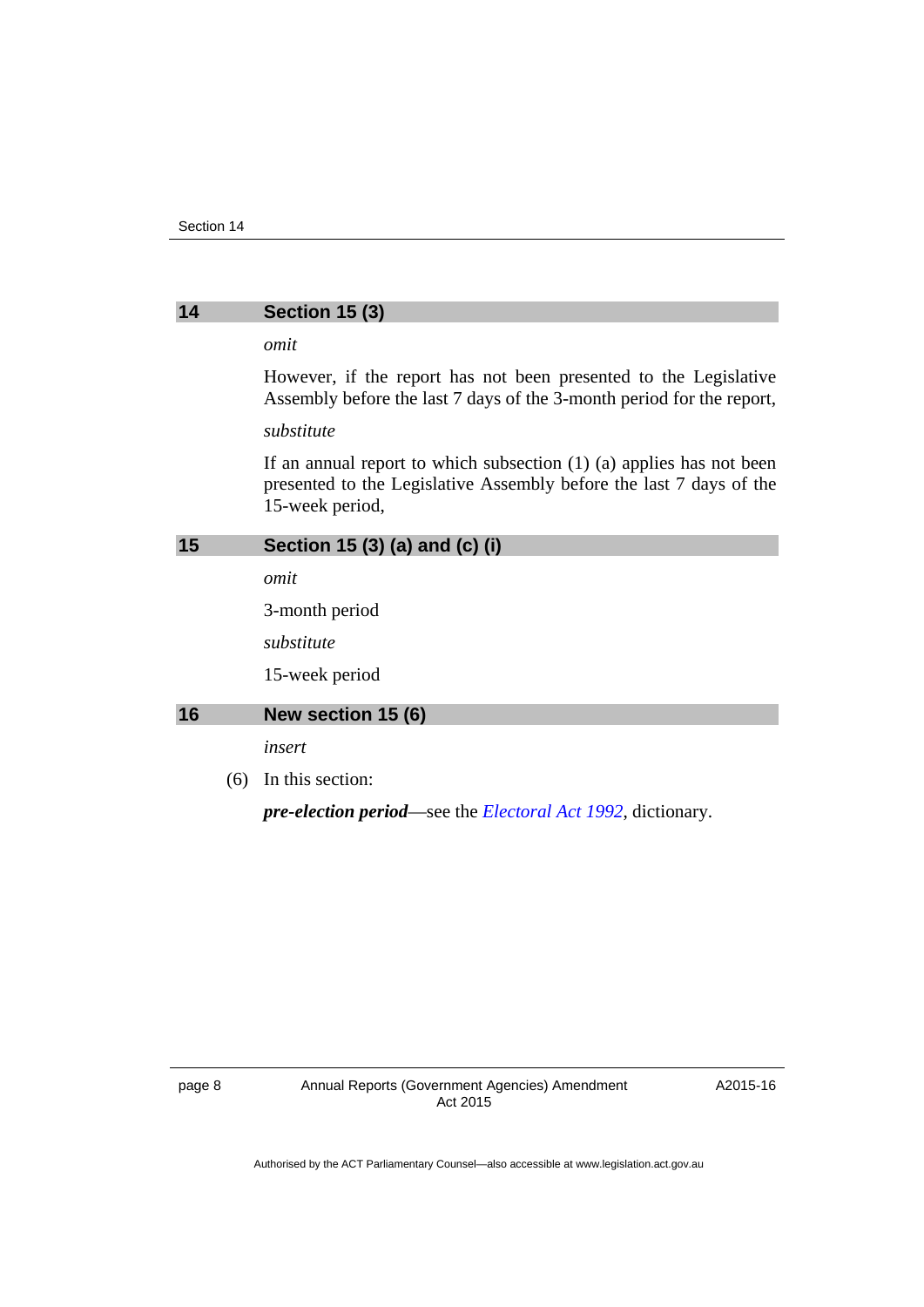#### <span id="page-11-0"></span>**14 Section 15 (3)**

#### *omit*

However, if the report has not been presented to the Legislative Assembly before the last 7 days of the 3-month period for the report,

#### *substitute*

If an annual report to which subsection (1) (a) applies has not been presented to the Legislative Assembly before the last 7 days of the 15-week period,

#### <span id="page-11-1"></span>**15 Section 15 (3) (a) and (c) (i)**

*omit* 

3-month period

*substitute* 

15-week period

#### <span id="page-11-2"></span>**16 New section 15 (6)**

*insert* 

(6) In this section:

*pre-election period*—see the *[Electoral Act 1992](http://www.legislation.act.gov.au/a/1992-71)*, dictionary.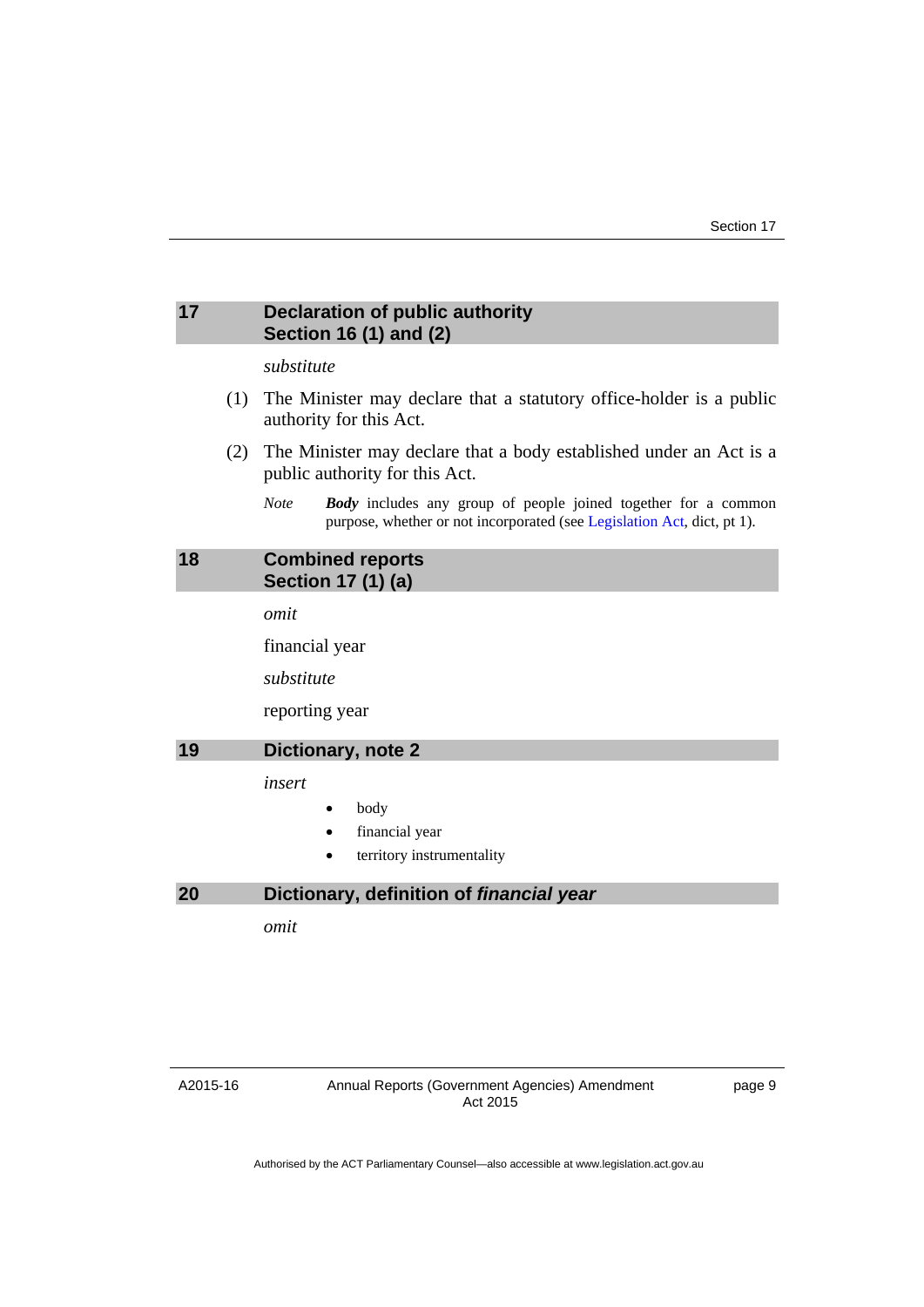#### <span id="page-12-0"></span>**17 Declaration of public authority Section 16 (1) and (2)**

#### *substitute*

- (1) The Minister may declare that a statutory office-holder is a public authority for this Act.
- (2) The Minister may declare that a body established under an Act is a public authority for this Act.
	- *Note Body* includes any group of people joined together for a common purpose, whether or not incorporated (see [Legislation Act](http://www.legislation.act.gov.au/a/2001-14), dict, pt 1).

#### <span id="page-12-1"></span>**18 Combined reports Section 17 (1) (a)**

*omit* 

financial year

*substitute* 

reporting year

#### <span id="page-12-2"></span>**19 Dictionary, note 2**

*insert* 

- body
- financial year
- territory instrumentality

#### <span id="page-12-3"></span>**20 Dictionary, definition of** *financial year*

*omit* 

#### A2015-16

page 9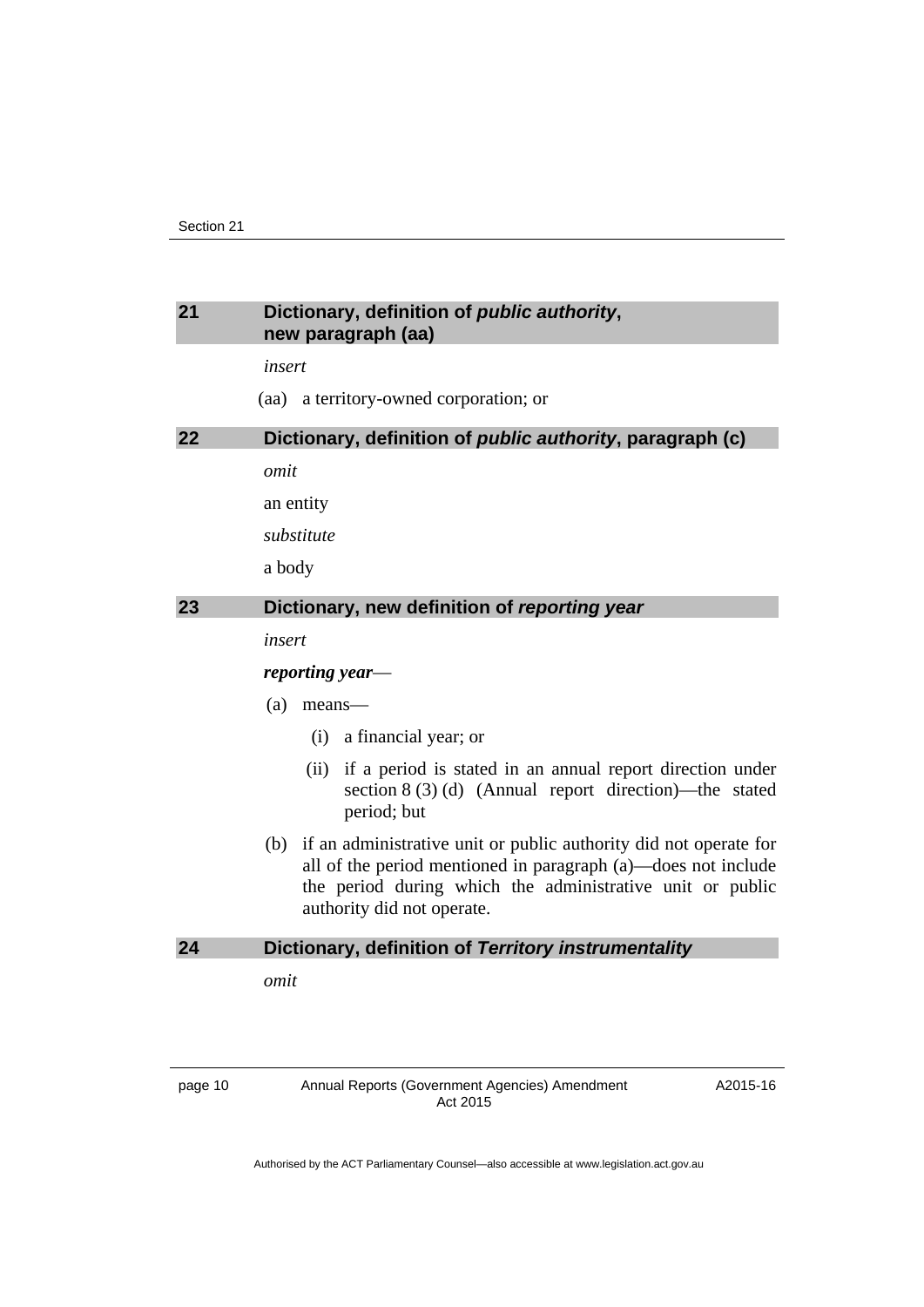#### <span id="page-13-0"></span>**21 Dictionary, definition of** *public authority***, new paragraph (aa)**

*insert* 

(aa) a territory-owned corporation; or

#### <span id="page-13-1"></span>**22 Dictionary, definition of** *public authority***, paragraph (c)**

*omit* 

an entity

*substitute* 

a body

#### <span id="page-13-2"></span>**23 Dictionary, new definition of** *reporting year*

*insert* 

#### *reporting year*—

- (a) means—
	- (i) a financial year; or
	- (ii) if a period is stated in an annual report direction under section 8 (3) (d) (Annual report direction)—the stated period; but
- (b) if an administrative unit or public authority did not operate for all of the period mentioned in paragraph (a)—does not include the period during which the administrative unit or public authority did not operate.

#### <span id="page-13-3"></span>**24 Dictionary, definition of** *Territory instrumentality*

*omit*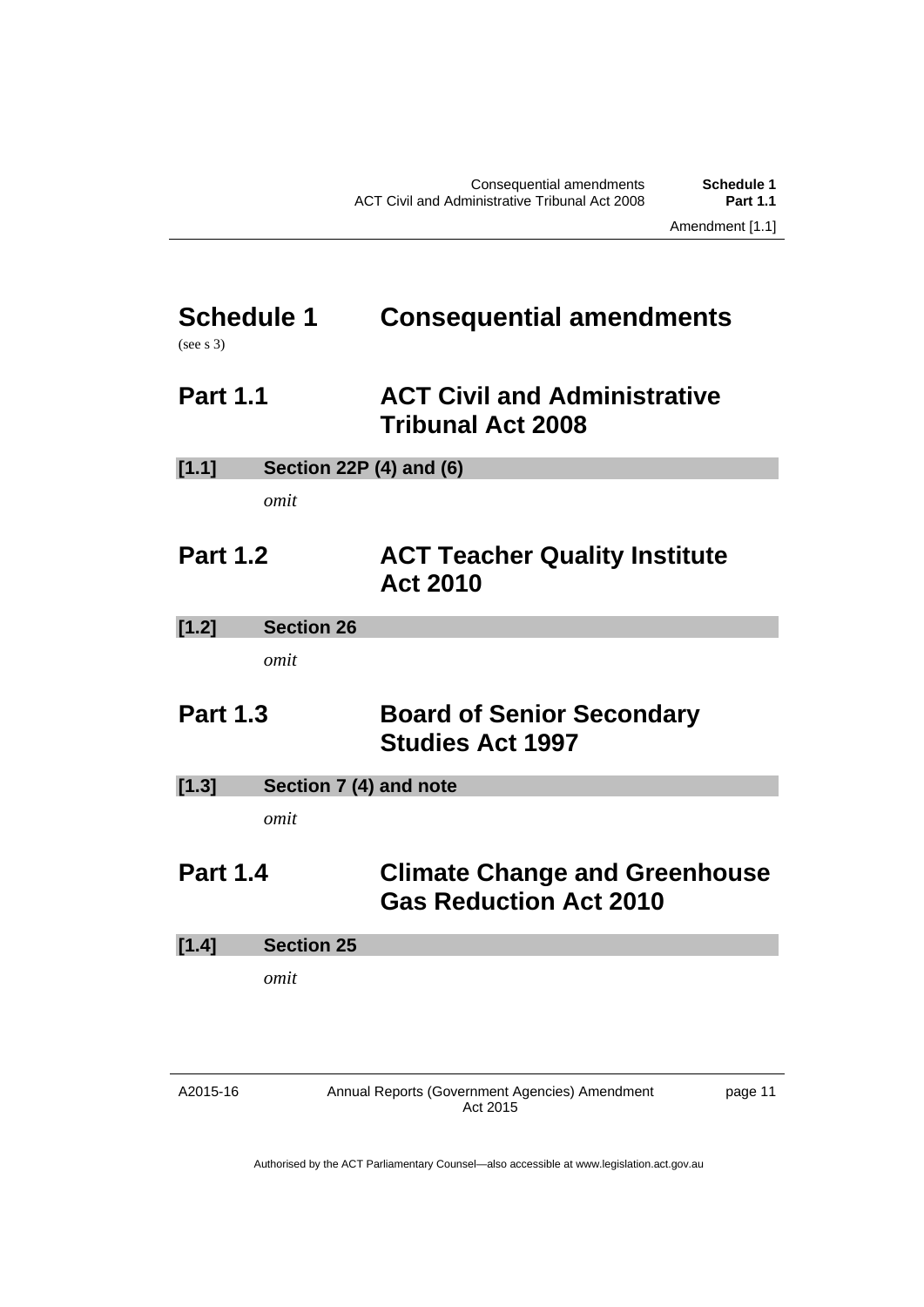# <span id="page-14-0"></span>**Schedule 1 Consequential amendments**

(see s 3)

### <span id="page-14-1"></span>**Part 1.1 ACT Civil and Administrative Tribunal Act 2008**

| [1.1] | <b>Section 22P (4) and (6)</b> |  |
|-------|--------------------------------|--|
|       |                                |  |

*omit* 

### <span id="page-14-2"></span>**Part 1.2 ACT Teacher Quality Institute Act 2010**

**[1.2] Section 26** 

*omit* 

### <span id="page-14-3"></span>**Part 1.3 Board of Senior Secondary Studies Act 1997**

**[1.3] Section 7 (4) and note** 

*omit* 

### <span id="page-14-4"></span>**Part 1.4 Climate Change and Greenhouse Gas Reduction Act 2010**

**[1.4] Section 25** 

*omit* 

A2015-16

Annual Reports (Government Agencies) Amendment Act 2015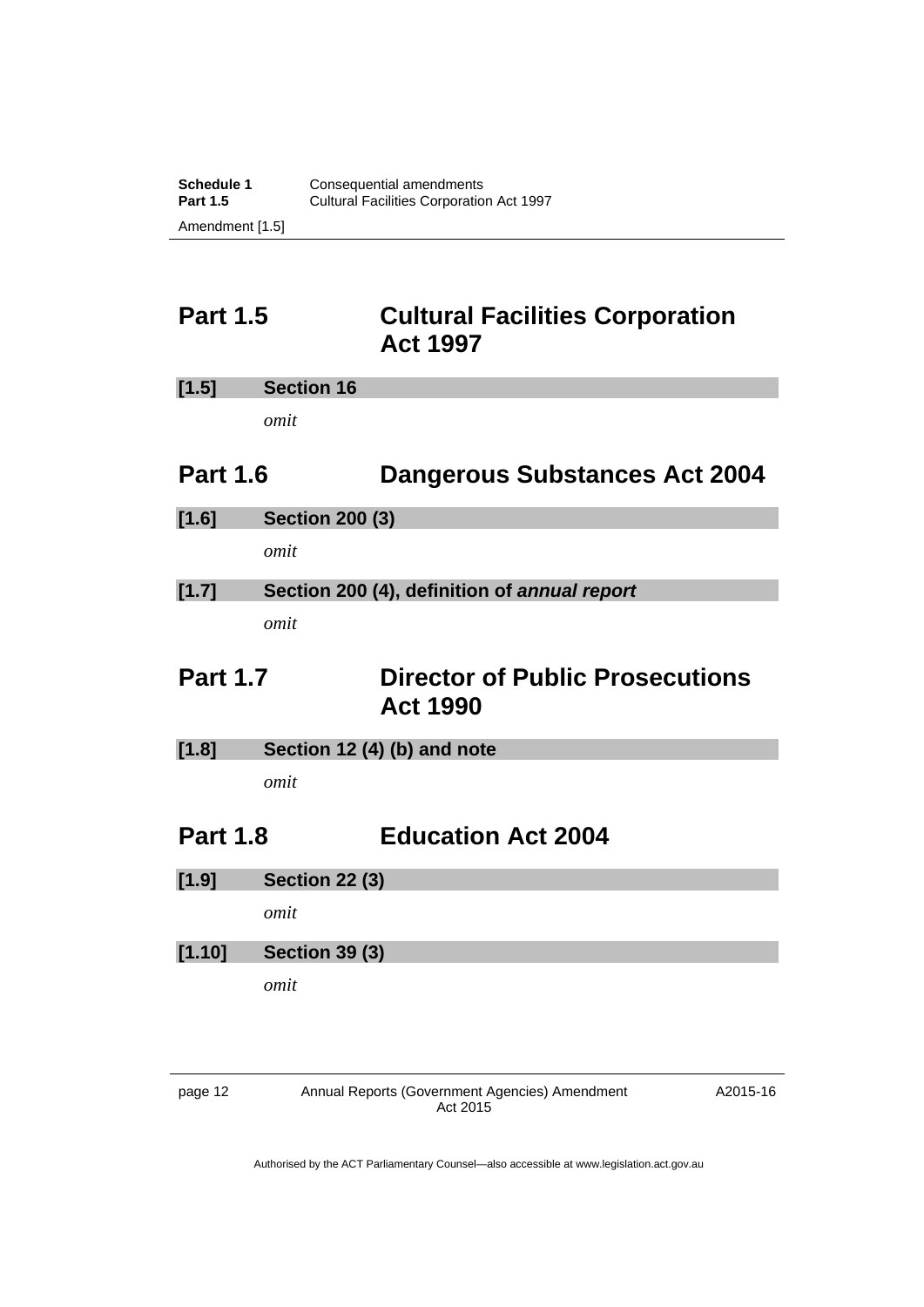### <span id="page-15-0"></span>**Part 1.5 Cultural Facilities Corporation Act 1997**

| $[1.5]$<br><b>Section 16</b> |
|------------------------------|
|------------------------------|

*omit* 

### <span id="page-15-1"></span>**Part 1.6 Dangerous Substances Act 2004**

**[1.6] Section 200 (3)** 

*omit* 

### **[1.7] Section 200 (4), definition of** *annual report omit*

### <span id="page-15-2"></span>**Part 1.7 Director of Public Prosecutions Act 1990**

**[1.8] Section 12 (4) (b) and note** 

*omit* 

### <span id="page-15-3"></span>**Part 1.8 Education Act 2004**

**[1.9] Section 22 (3)** 

*omit* 

#### **[1.10] Section 39 (3)**

*omit* 

page 12 Annual Reports (Government Agencies) Amendment Act 2015

A2015-16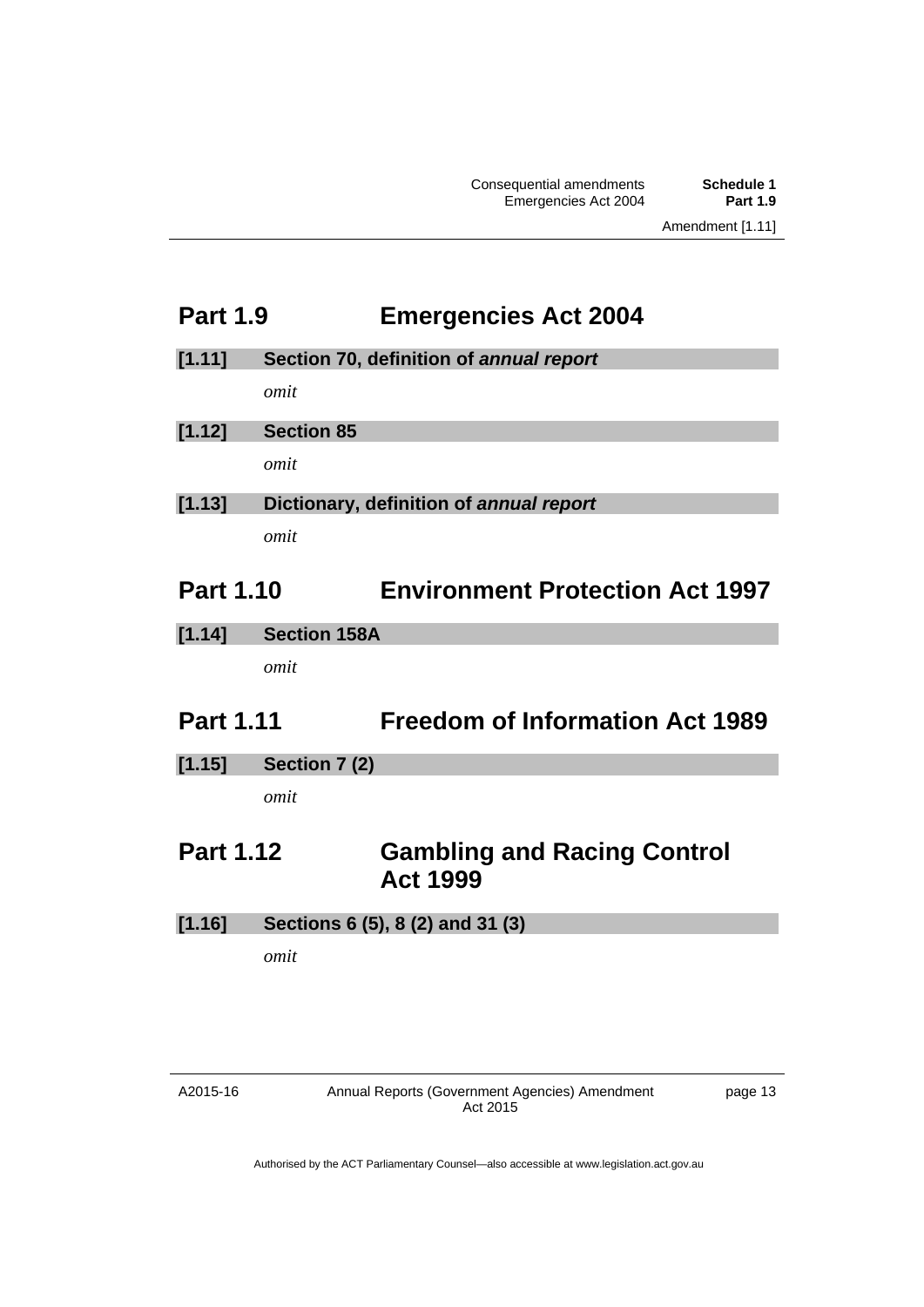### <span id="page-16-0"></span>**Part 1.9 Emergencies Act 2004**

**[1.11] Section 70, definition of** *annual report*

*omit* 

**[1.12] Section 85** 

*omit* 

**[1.13] Dictionary, definition of** *annual report omit* 

### <span id="page-16-1"></span>**Part 1.10 Environment Protection Act 1997**

**[1.14] Section 158A** 

*omit* 

### <span id="page-16-2"></span>**Part 1.11 Freedom of Information Act 1989**

**[1.15] Section 7 (2)** 

*omit* 

### <span id="page-16-3"></span>**Part 1.12 Gambling and Racing Control Act 1999**

**[1.16] Sections 6 (5), 8 (2) and 31 (3)** 

*omit*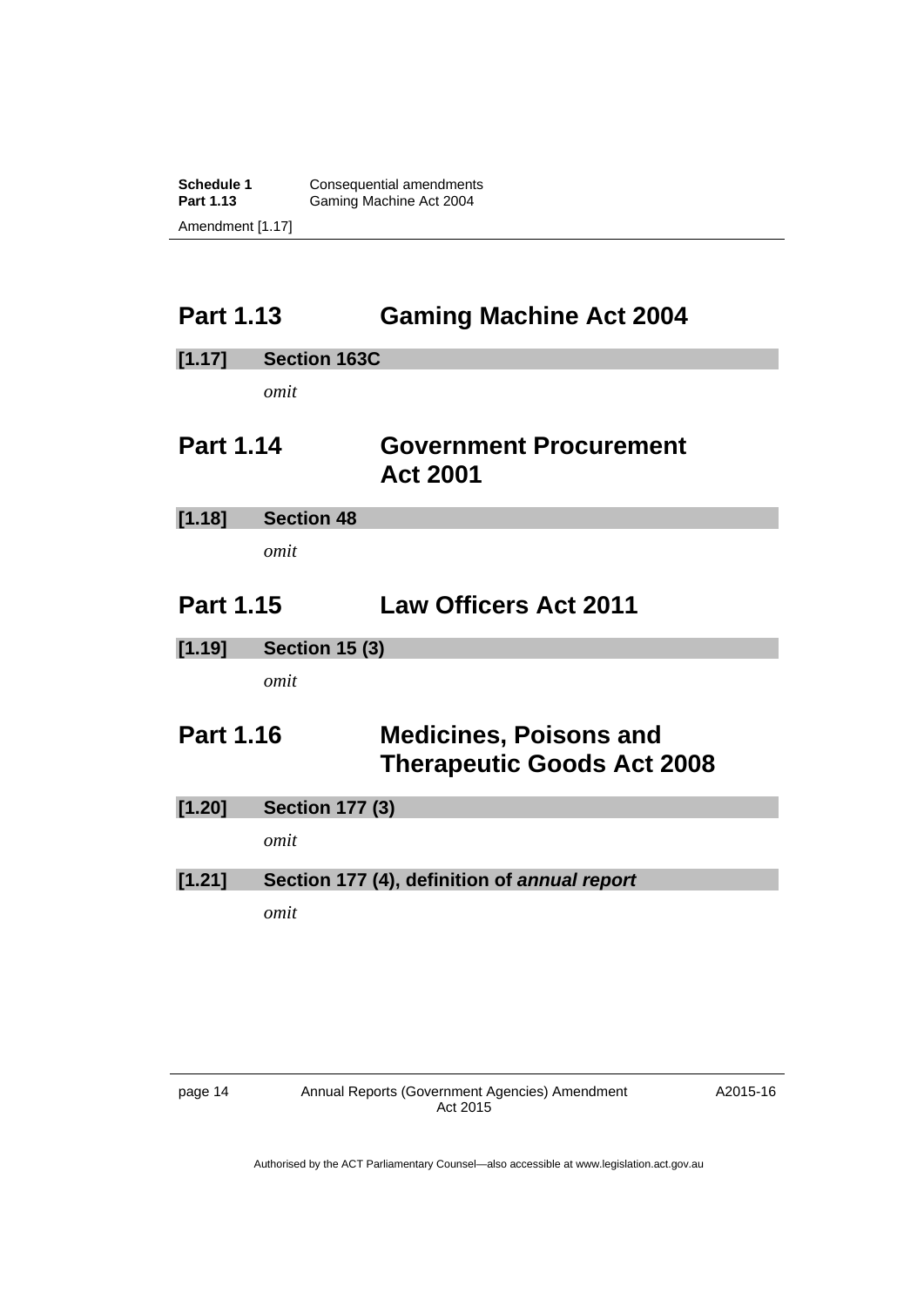**Schedule 1 Consequential amendments**<br>**Part 1.13 Gaming Machine Act 2004** Gaming Machine Act 2004 Amendment [1.17]

### <span id="page-17-0"></span>**Part 1.13 Gaming Machine Act 2004**

<span id="page-17-2"></span><span id="page-17-1"></span>

| [1.17]           | <b>Section 163C</b>    |                                                                    |
|------------------|------------------------|--------------------------------------------------------------------|
|                  | omit                   |                                                                    |
| <b>Part 1.14</b> |                        | <b>Government Procurement</b><br><b>Act 2001</b>                   |
| [1.18]           | <b>Section 48</b>      |                                                                    |
|                  | omit                   |                                                                    |
| <b>Part 1.15</b> |                        | <b>Law Officers Act 2011</b>                                       |
| [1.19]           | <b>Section 15 (3)</b>  |                                                                    |
|                  | omit                   |                                                                    |
| <b>Part 1.16</b> |                        | <b>Medicines, Poisons and</b><br><b>Therapeutic Goods Act 2008</b> |
| [1.20]           | <b>Section 177 (3)</b> |                                                                    |
|                  | omit                   |                                                                    |
| [1.21]           |                        | Section 177 (4), definition of annual report                       |
|                  | omit                   |                                                                    |

<span id="page-17-3"></span>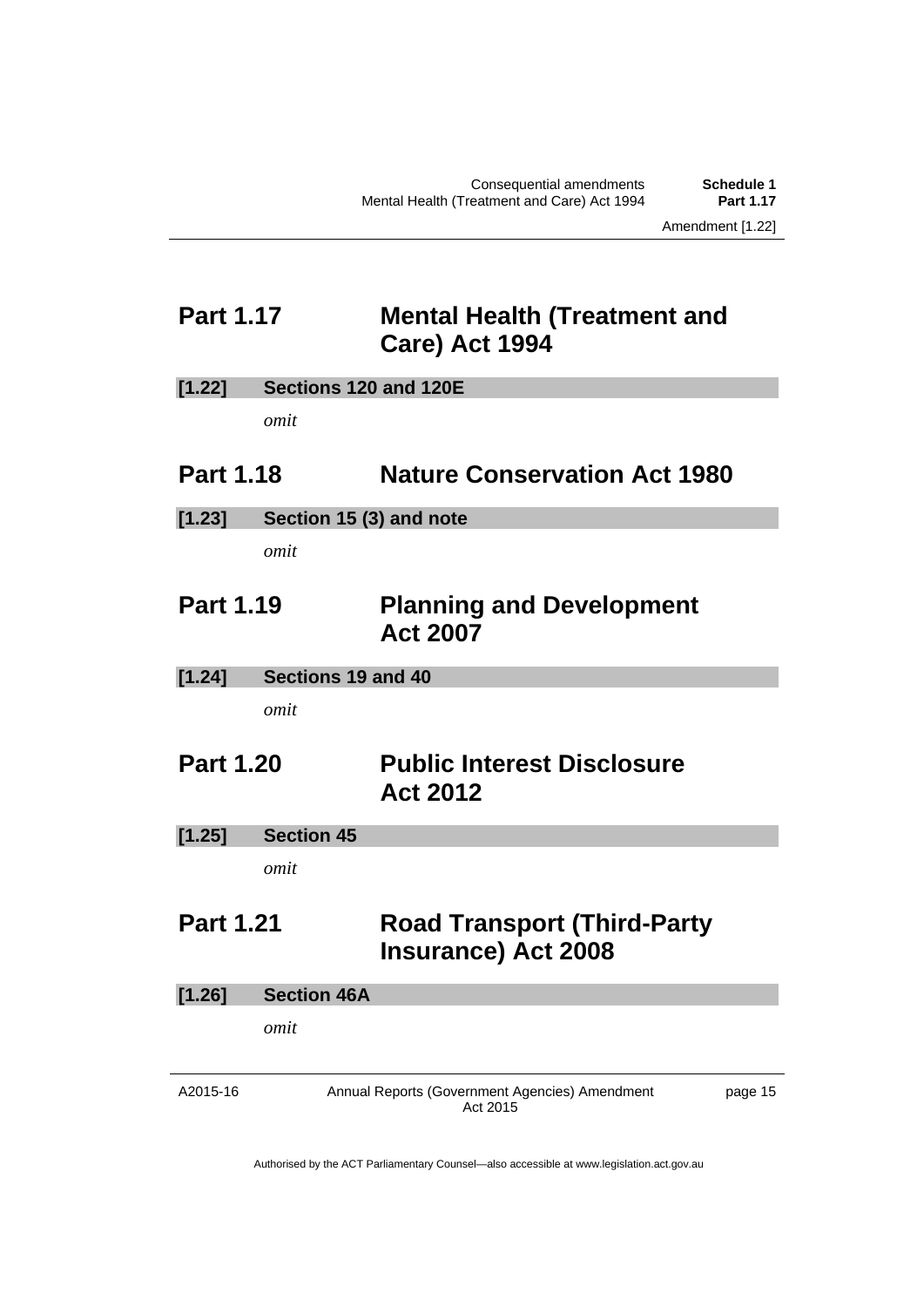page 15

### <span id="page-18-0"></span>**Part 1.17 Mental Health (Treatment and Care) Act 1994**

<span id="page-18-3"></span><span id="page-18-2"></span><span id="page-18-1"></span>**[1.22] Sections 120 and 120E**  *omit*  **Part 1.18 Nature Conservation Act 1980 [1.23] Section 15 (3) and note**  *omit*  **Part 1.19 Planning and Development Act 2007 [1.24] Sections 19 and 40**  *omit*  **Part 1.20 Public Interest Disclosure Act 2012 [1.25] Section 45**  *omit*  **Part 1.21 Road Transport (Third-Party Insurance) Act 2008 [1.26] Section 46A**  *omit* 

<span id="page-18-4"></span>Authorised by the ACT Parliamentary Counsel—also accessible at www.legislation.act.gov.au

Annual Reports (Government Agencies) Amendment Act 2015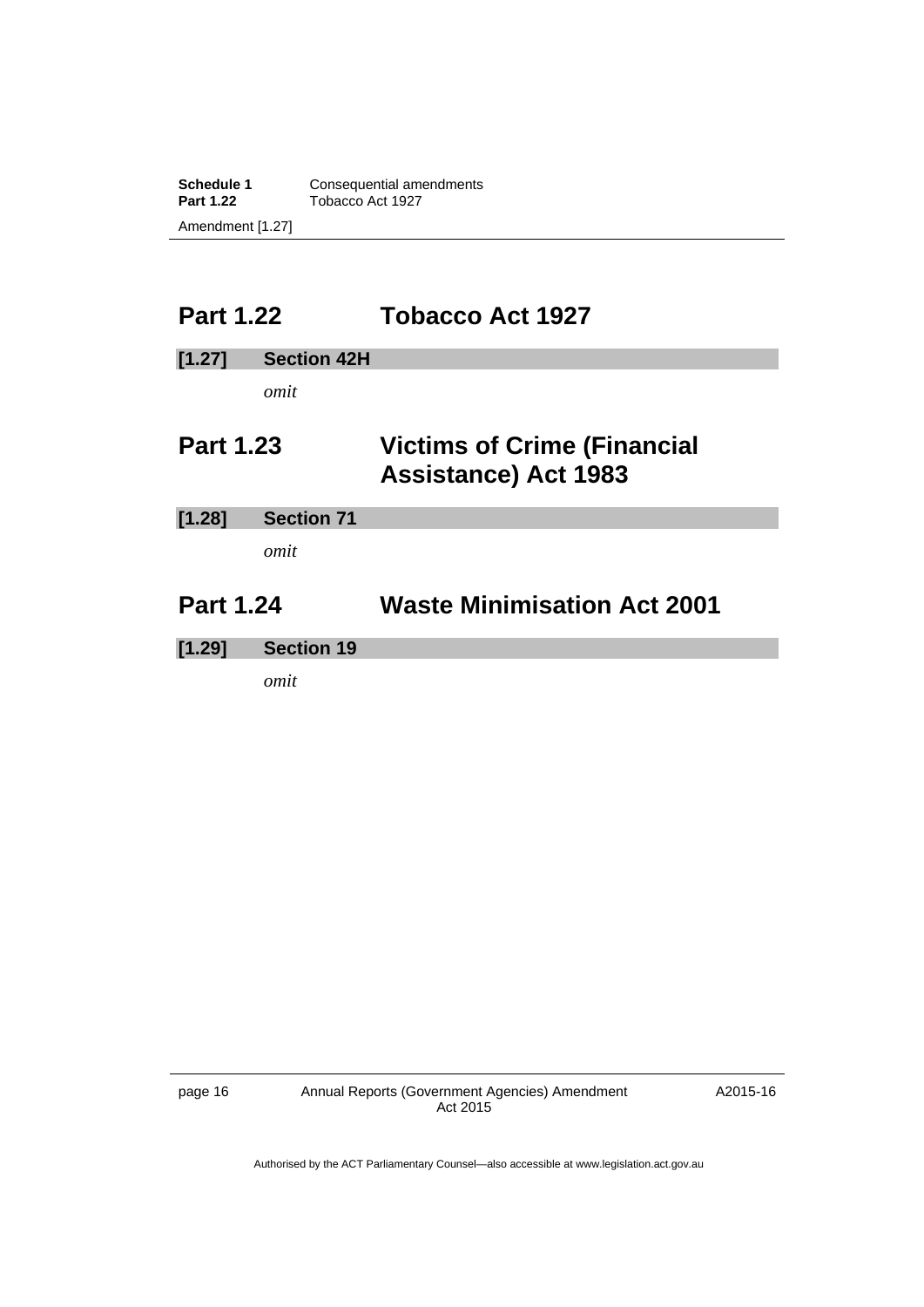**Schedule 1 Consequential amendments**<br>**Part 1.22 Tobacco Act 1927 Part 1.22** Tobacco Act 1927 Amendment [1.27]

### <span id="page-19-0"></span>**Part 1.22 Tobacco Act 1927**

<span id="page-19-2"></span><span id="page-19-1"></span>

| [1.27]           | <b>Section 42H</b> |                                                                   |
|------------------|--------------------|-------------------------------------------------------------------|
|                  | omit               |                                                                   |
| <b>Part 1.23</b> |                    | <b>Victims of Crime (Financial</b><br><b>Assistance) Act 1983</b> |
| [1.28]           | <b>Section 71</b>  |                                                                   |
|                  | omit               |                                                                   |
| <b>Part 1.24</b> |                    | <b>Waste Minimisation Act 2001</b>                                |
| [1.29]           | <b>Section 19</b>  |                                                                   |
|                  | omit               |                                                                   |

page 16 Annual Reports (Government Agencies) Amendment Act 2015

A2015-16